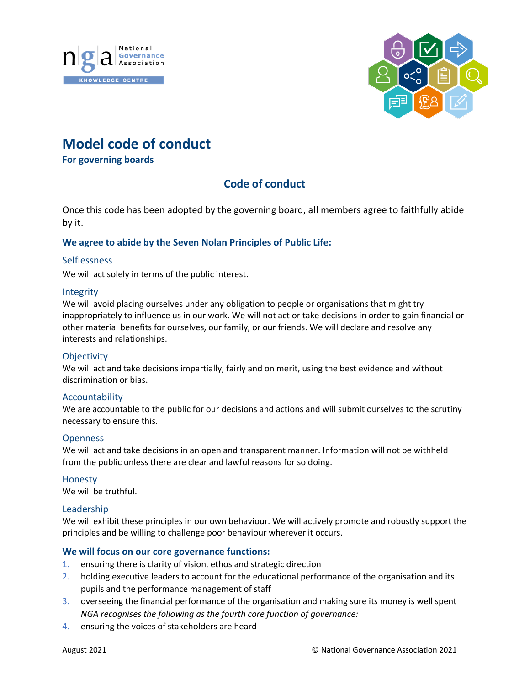



# **Model code of conduct**

**For governing boards**

# **Code of conduct**

Once this code has been adopted by the governing board, all members agree to faithfully abide by it.

## **We agree to abide by the Seven Nolan Principles of Public Life:**

#### **Selflessness**

We will act solely in terms of the public interest.

#### Integrity

We will avoid placing ourselves under any obligation to people or organisations that might try inappropriately to influence us in our work. We will not act or take decisions in order to gain financial or other material benefits for ourselves, our family, or our friends. We will declare and resolve any interests and relationships.

#### **Objectivity**

We will act and take decisions impartially, fairly and on merit, using the best evidence and without discrimination or bias.

#### Accountability

We are accountable to the public for our decisions and actions and will submit ourselves to the scrutiny necessary to ensure this.

#### **Openness**

We will act and take decisions in an open and transparent manner. Information will not be withheld from the public unless there are clear and lawful reasons for so doing.

#### Honesty

We will be truthful.

#### Leadership

We will exhibit these principles in our own behaviour. We will actively promote and robustly support the principles and be willing to challenge poor behaviour wherever it occurs.

#### **We will focus on our core governance functions:**

- 1. ensuring there is clarity of vision, ethos and strategic direction
- 2. holding executive leaders to account for the educational performance of the organisation and its pupils and the performance management of staff
- 3. overseeing the financial performance of the organisation and making sure its money is well spent *NGA recognises the following as the fourth core function of governance:*
- 4. ensuring the voices of stakeholders are heard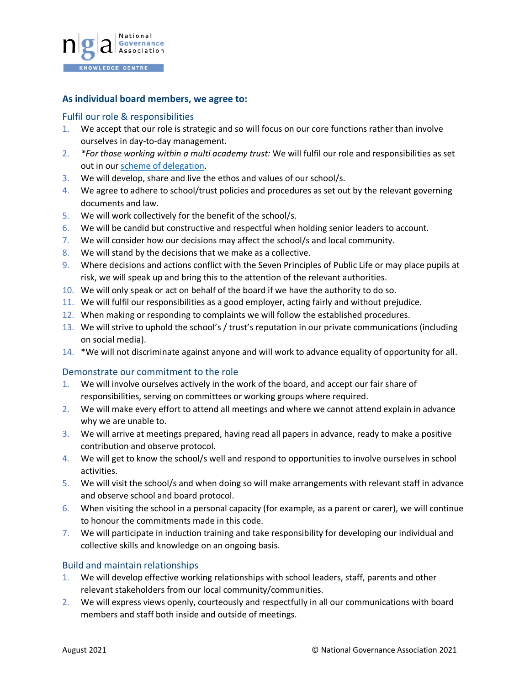

#### **As individual board members, we agree to:**

#### Fulfil our role & responsibilities

- 1. We accept that our role is strategic and so will focus on our core functions rather than involve ourselves in day-to-day management.
- 2. *\*For those working within a multi academy trust:* We will fulfil our role and responsibilities as set out in ou[r scheme of delegation.](https://www.nga.org.uk/Knowledge-Centre/Governance-structure-roles-and-responsibilities/Academy-trusts/Scheme-of-delegation.aspx)
- 3. We will develop, share and live the ethos and values of our school/s.
- 4. We agree to adhere to school/trust policies and procedures as set out by the relevant governing documents and law.
- 5. We will work collectively for the benefit of the school/s.
- 6. We will be candid but constructive and respectful when holding senior leaders to account.
- 7. We will consider how our decisions may affect the school/s and local community.
- 8. We will stand by the decisions that we make as a collective.
- 9. Where decisions and actions conflict with the Seven Principles of Public Life or may place pupils at risk, we will speak up and bring this to the attention of the relevant authorities.
- 10. We will only speak or act on behalf of the board if we have the authority to do so.
- 11. We will fulfil our responsibilities as a good employer, acting fairly and without prejudice.
- 12. When making or responding to complaints we will follow the established procedures.
- 13. We will strive to uphold the school's / trust's reputation in our private communications (including on social media).
- 14. \*We will not discriminate against anyone and will work to advance equality of opportunity for all.

#### Demonstrate our commitment to the role

- 1. We will involve ourselves actively in the work of the board, and accept our fair share of responsibilities, serving on committees or working groups where required.
- 2. We will make every effort to attend all meetings and where we cannot attend explain in advance why we are unable to.
- 3. We will arrive at meetings prepared, having read all papers in advance, ready to make a positive contribution and observe protocol.
- 4. We will get to know the school/s well and respond to opportunities to involve ourselves in school activities.
- 5. We will visit the school/s and when doing so will make arrangements with relevant staff in advance and observe school and board protocol.
- 6. When visiting the school in a personal capacity (for example, as a parent or carer), we will continue to honour the commitments made in this code.
- 7. We will participate in induction training and take responsibility for developing our individual and collective skills and knowledge on an ongoing basis.

## Build and maintain relationships

- 1. We will develop effective working relationships with school leaders, staff, parents and other relevant stakeholders from our local community/communities.
- 2. We will express views openly, courteously and respectfully in all our communications with board members and staff both inside and outside of meetings.